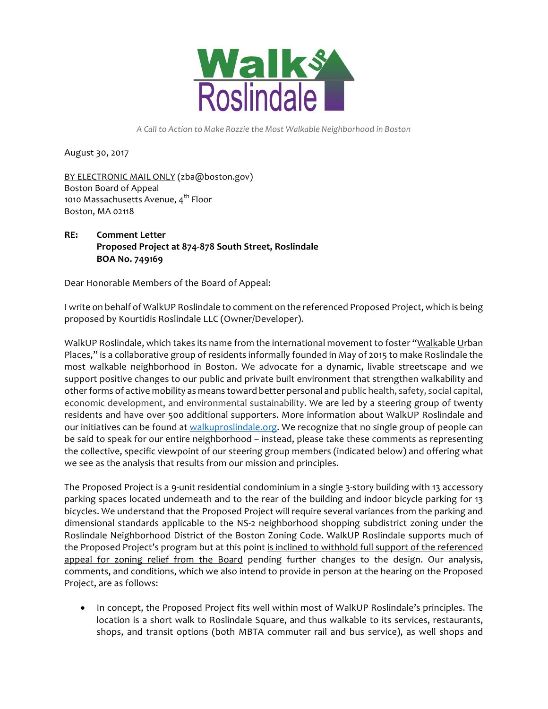

 *A Call to Action to Make Rozzie the Most Walkable Neighborhood in Boston* 

August 30, 2017

 Boston Board of Appeal 1010 Massachusetts Avenue, 4<sup>th</sup> Floor Boston, MA 02118 BY ELECTRONIC MAIL ONLY (zba@boston.gov)

## **Proposed Project at 874-878 South Street, Roslindale BOA No. 749169 RE: Comment Letter**

Dear Honorable Members of the Board of Appeal:

 I write on behalf of WalkUP Roslindale to comment on the referenced Proposed Project, which is being proposed by Kourtidis Roslindale LLC (Owner/Developer).

WalkUP Roslindale, which takes its name from the international movement to foster "<u>Walk</u>able <u>U</u>rban Places," is a collaborative group of residents informally founded in May of 2015 to make Roslindale the most walkable neighborhood in Boston. We advocate for a dynamic, livable streetscape and we support positive changes to our public and private built environment that strengthen walkability and other forms of active mobility as means toward better personal and public health, safety, social capital, economic development, and environmental sustainability. We are led by a steering group of twenty residents and have over 500 additional supporters. More information about WalkUP Roslindale and our initiatives can be found at <u>walkuproslindale.or</u>g. We recognize that no single group of people can be said to speak for our entire neighborhood – instead, please take these comments as representing the collective, specific viewpoint of our steering group members (indicated below) and offering what we see as the analysis that results from our mission and principles.

 The Proposed Project is a 9-unit residential condominium in a single 3-story building with 13 accessory parking spaces located underneath and to the rear of the building and indoor bicycle parking for 13 bicycles. We understand that the Proposed Project will require several variances from the parking and dimensional standards applicable to the NS-2 neighborhood shopping subdistrict zoning under the Roslindale Neighborhood District of the Boston Zoning Code. WalkUP Roslindale supports much of the Proposed Project's program but at this point is inclined to withhold full support of the referenced appeal for zoning relief from the Board pending further changes to the design. Our analysis, comments, and conditions, which we also intend to provide in person at the hearing on the Proposed Project, are as follows:

 • In concept, the Proposed Project fits well within most of WalkUP Roslindale's principles. The location is a short walk to Roslindale Square, and thus walkable to its services, restaurants, shops, and transit options (both MBTA commuter rail and bus service), as well shops and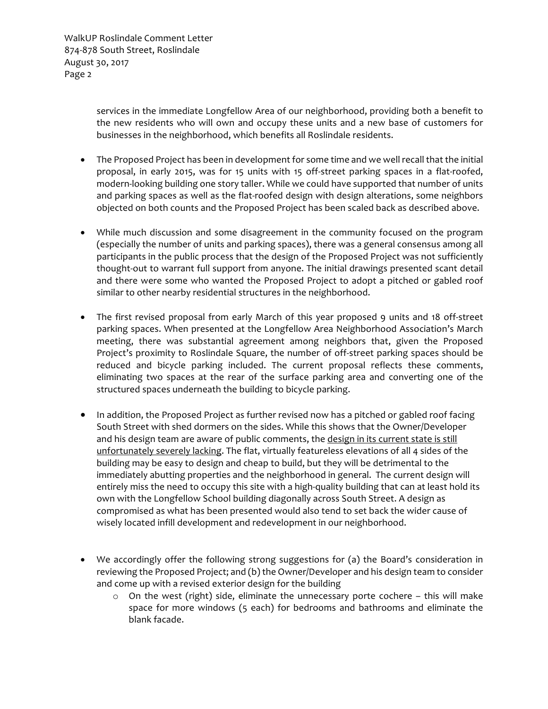> services in the immediate Longfellow Area of our neighborhood, providing both a benefit to the new residents who will own and occupy these units and a new base of customers for businesses in the neighborhood, which benefits all Roslindale residents.

- • The Proposed Project has been in development for some time and we well recall that the initial proposal, in early 2015, was for 15 units with 15 off-street parking spaces in a flat-roofed, modern-looking building one story taller. While we could have supported that number of units and parking spaces as well as the flat-roofed design with design alterations, some neighbors objected on both counts and the Proposed Project has been scaled back as described above.
- • While much discussion and some disagreement in the community focused on the program (especially the number of units and parking spaces), there was a general consensus among all participants in the public process that the design of the Proposed Project was not sufficiently thought-out to warrant full support from anyone. The initial drawings presented scant detail and there were some who wanted the Proposed Project to adopt a pitched or gabled roof similar to other nearby residential structures in the neighborhood.
- • The first revised proposal from early March of this year proposed 9 units and 18 off-street parking spaces. When presented at the Longfellow Area Neighborhood Association's March meeting, there was substantial agreement among neighbors that, given the Proposed Project's proximity to Roslindale Square, the number of off-street parking spaces should be reduced and bicycle parking included. The current proposal reflects these comments, eliminating two spaces at the rear of the surface parking area and converting one of the structured spaces underneath the building to bicycle parking.
- • In addition, the Proposed Project as further revised now has a pitched or gabled roof facing South Street with shed dormers on the sides. While this shows that the Owner/Developer and his design team are aware of public comments, the design in its current state is still unfortunately severely lacking. The flat, virtually featureless elevations of all 4 sides of the building may be easy to design and cheap to build, but they will be detrimental to the immediately abutting properties and the neighborhood in general. The current design will entirely miss the need to occupy this site with a high-quality building that can at least hold its own with the Longfellow School building diagonally across South Street. A design as compromised as what has been presented would also tend to set back the wider cause of wisely located infill development and redevelopment in our neighborhood.
- • We accordingly offer the following strong suggestions for (a) the Board's consideration in reviewing the Proposed Project; and (b) the Owner/Developer and his design team to consider and come up with a revised exterior design for the building
	- o On the west (right) side, eliminate the unnecessary porte cochere this will make space for more windows (5 each) for bedrooms and bathrooms and eliminate the blank facade.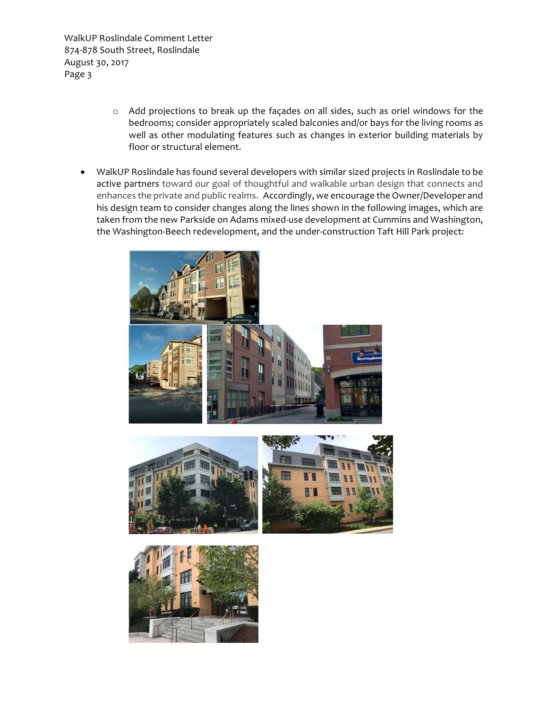- o Add projections to break up the façades on all sides, such as oriel windows for the bedrooms; consider appropriately scaled balconies and/or bays for the living rooms as well as other modulating features such as changes in exterior building materials by floor or structural element.
- • WalkUP Roslindale has found several developers with similar sized projects in Roslindale to be active partners toward our goal of thoughtful and walkable urban design that connects and enhances the private and public realms. Accordingly, we encourage the Owner/Developer and his design team to consider changes along the lines shown in the following images, which are taken from the new Parkside on Adams mixed-use development at Cummins and Washington, the Washington-Beech redevelopment, and the under-construction Taft Hill Park project:





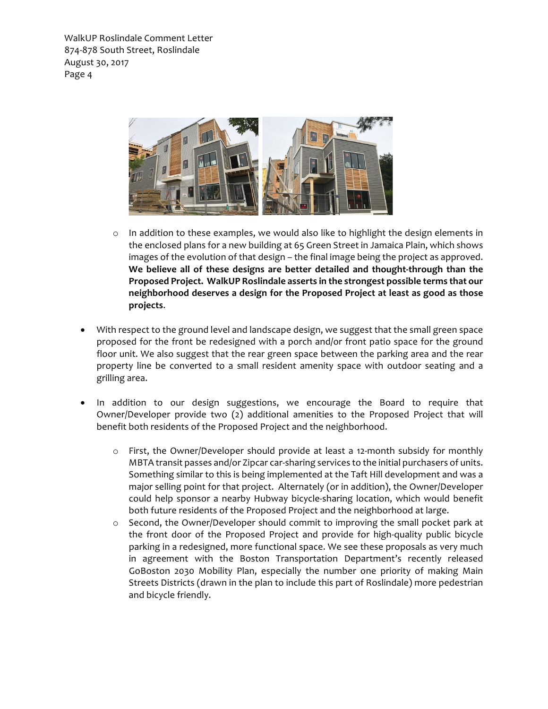

- o In addition to these examples, we would also like to highlight the design elements in the enclosed plans for a new building at 65 Green Street in Jamaica Plain, which shows images of the evolution of that design – the final image being the project as approved.  **We believe all of these designs are better detailed and thought-through than the Proposed Project. WalkUP Roslindale asserts in the strongest possible terms that our neighborhood deserves a design for the Proposed Project at least as good as those projects**.
- • With respect to the ground level and landscape design, we suggest that the small green space proposed for the front be redesigned with a porch and/or front patio space for the ground floor unit. We also suggest that the rear green space between the parking area and the rear property line be converted to a small resident amenity space with outdoor seating and a grilling area.
- • In addition to our design suggestions, we encourage the Board to require that Owner/Developer provide two (2) additional amenities to the Proposed Project that will benefit both residents of the Proposed Project and the neighborhood.
	- o First, the Owner/Developer should provide at least a 12-month subsidy for monthly MBTA transit passes and/or Zipcar car-sharing services to the initial purchasers of units. Something similar to this is being implemented at the Taft Hill development and was a major selling point for that project. Alternately (or in addition), the Owner/Developer could help sponsor a nearby Hubway bicycle-sharing location, which would benefit both future residents of the Proposed Project and the neighborhood at large.
	- o Second, the Owner/Developer should commit to improving the small pocket park at the front door of the Proposed Project and provide for high-quality public bicycle parking in a redesigned, more functional space. We see these proposals as very much in agreement with the Boston Transportation Department's recently released GoBoston 2030 Mobility Plan, especially the number one priority of making Main Streets Districts (drawn in the plan to include this part of Roslindale) more pedestrian and bicycle friendly.